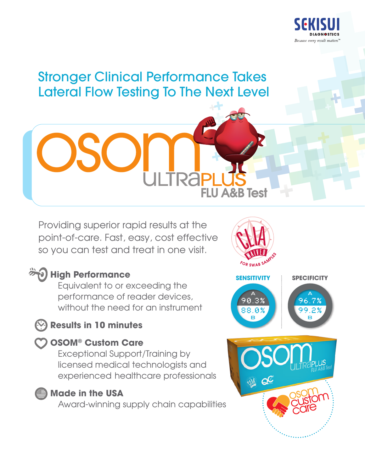

# Stronger Clinical Performance Takes Lateral Flow Testing To The Next Level

Providing superior rapid results at the point-of-care. Fast, easy, cost effective so you can test and treat in one visit.

# **High Performance**

 Equivalent to or exceeding the performance of reader devices, without the need for an instrument

## **Results in 10 minutes**

### **OSOM® Custom Care**

 Exceptional Support/Training by licensed medical technologists and experienced healthcare professionals



### **Made in the USA**

Award-winning supply chain capabilities



**FLU A&B Test**